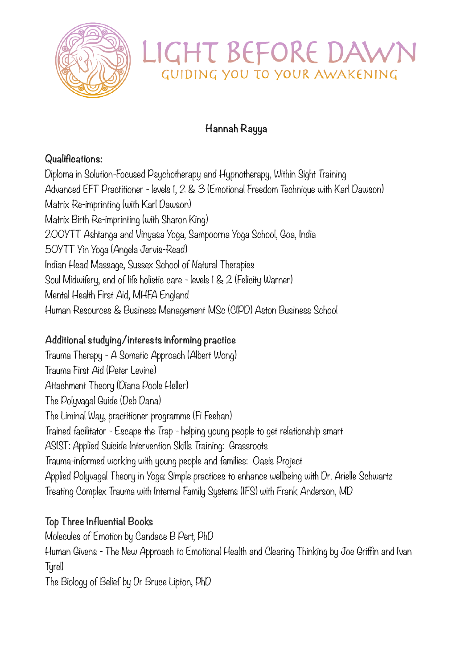

# LIGHT BEFORE DAW GUIDING YOU TO YOUR AWAKENING

## **Hannah Rayya**

#### **Qualifications:**

Diploma in Solution-Focused Psychotherapy and Hypnotherapy, Within Sight Training Advanced EFT Practitioner - levels 1, 2 & 3 (Emotional Freedom Technique with Karl Dawson) Matrix Re-imprinting (with Karl Dawson) Matrix Birth Re-imprinting (with Sharon King) 200YTT Ashtanga and Vinyasa Yoga, Sampoorna Yoga School, Goa, India 50YTT Yin Yoga (Angela Jervis-Read) Indian Head Massage, Sussex School of Natural Therapies Soul Midwifery, end of life holistic care - levels 1 & 2 (Felicity Warner) Mental Health First Aid, MHFA England Human Resources & Business Management MSc (CIPD) Aston Business School

### **Additional studying/interests informing practice**

Trauma Therapy - A Somatic Approach (Albert Wong) Trauma First Aid (Peter Levine) Attachment Theory (Diana Poole Heller) The Polyvagal Guide (Deb Dana) The Liminal Way, practitioner programme (Fi Feehan) Trained facilitator - Escape the Trap - helping young people to get relationship smart ASIST: Applied Suicide Intervention Skills Training: Grassroots Trauma-informed working with young people and families: Oasis Project Applied Polyvagal Theory in Yoga: Simple practices to enhance wellbeing with Dr. Arielle Schwartz Treating Complex Trauma with Internal Family Systems (IFS) with Frank Anderson, MD

### **Top Three Influential Books**

Molecules of Emotion by Candace B Pert, PhD Human Givens - The New Approach to Emotional Health and Clearing Thinking by Joe Griffin and Ivan Tyrell The Biology of Belief by Dr Bruce Lipton, PhD